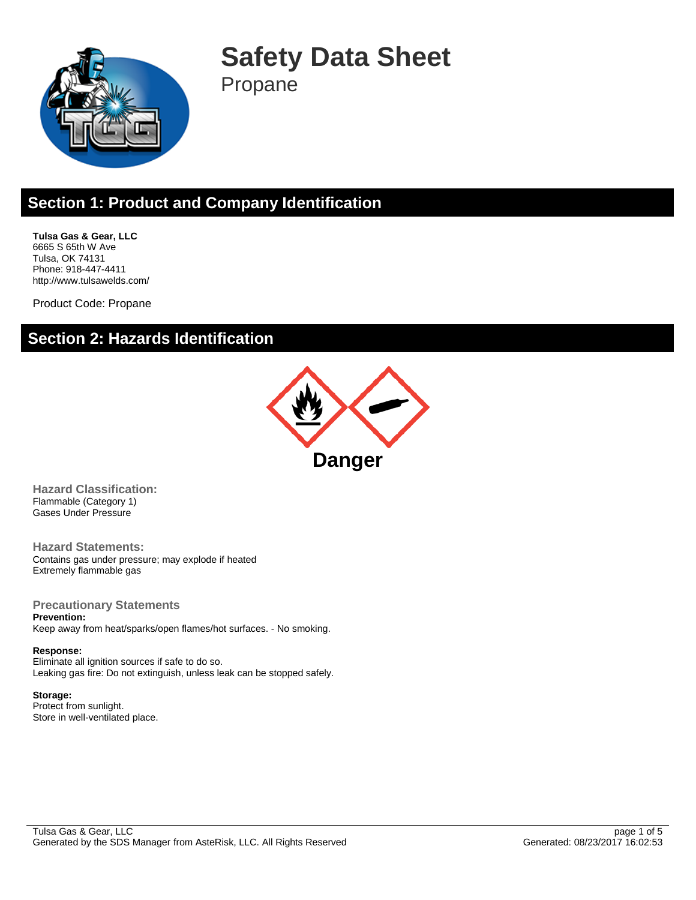

**Safety Data Sheet** Propane

# **Section 1: Product and Company Identification**

**Tulsa Gas & Gear, LLC** 6665 S 65th W Ave Tulsa, OK 74131 Phone: 918-447-4411 http://www.tulsawelds.com/

Product Code: Propane

### **Section 2: Hazards Identification**



**Hazard Classification:** Flammable (Category 1) Gases Under Pressure

**Hazard Statements:** Contains gas under pressure; may explode if heated Extremely flammable gas

**Precautionary Statements Prevention:**

Keep away from heat/sparks/open flames/hot surfaces. - No smoking.

**Response:** Eliminate all ignition sources if safe to do so. Leaking gas fire: Do not extinguish, unless leak can be stopped safely.

**Storage:** Protect from sunlight. Store in well-ventilated place.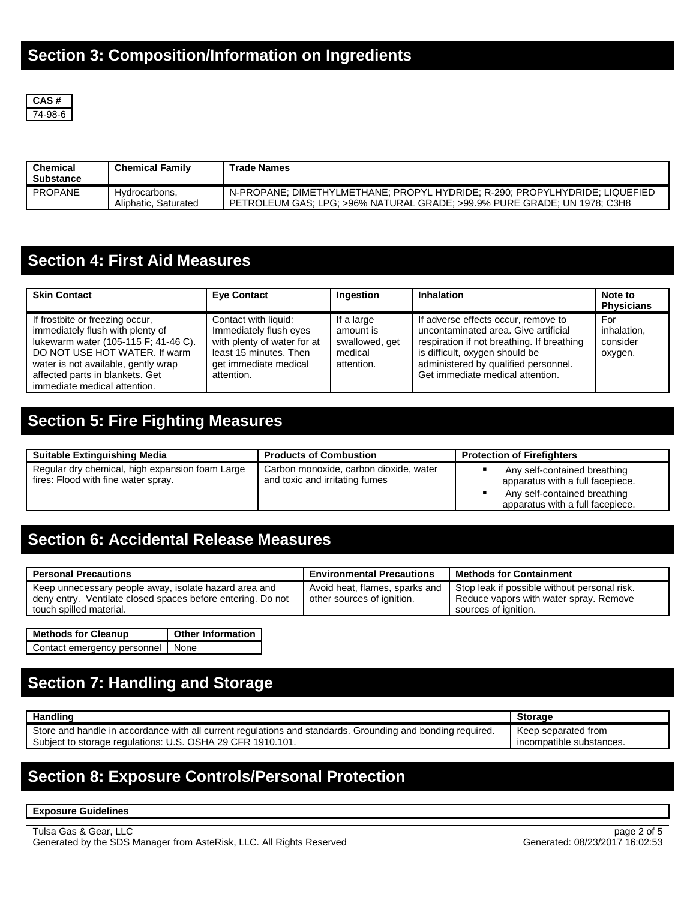

| <b>Chemical</b><br><b>Substance</b> | <b>Chemical Family</b>                | <b>Trade Names</b>                                                                                                                                      |
|-------------------------------------|---------------------------------------|---------------------------------------------------------------------------------------------------------------------------------------------------------|
| <b>PROPANE</b>                      | Hydrocarbons.<br>Aliphatic, Saturated | N-PROPANE: DIMETHYLMETHANE: PROPYL HYDRIDE: R-290: PROPYLHYDRIDE: LIQUEFIED<br>PETROLEUM GAS; LPG; >96% NATURAL GRADE; >99.9% PURE GRADE; UN 1978; C3H8 |

# **Section 4: First Aid Measures**

| <b>Skin Contact</b>                                                                                                                                                                                                                                    | <b>Eye Contact</b>                                                                                                                             | Ingestion                                                          | <b>Inhalation</b>                                                                                                                                                                                                                       | Note to<br><b>Physicians</b>              |
|--------------------------------------------------------------------------------------------------------------------------------------------------------------------------------------------------------------------------------------------------------|------------------------------------------------------------------------------------------------------------------------------------------------|--------------------------------------------------------------------|-----------------------------------------------------------------------------------------------------------------------------------------------------------------------------------------------------------------------------------------|-------------------------------------------|
| If frostbite or freezing occur,<br>immediately flush with plenty of<br>lukewarm water (105-115 F; 41-46 C).<br>DO NOT USE HOT WATER. If warm<br>water is not available, gently wrap<br>affected parts in blankets. Get<br>immediate medical attention. | Contact with liquid:<br>Immediately flush eyes<br>with plenty of water for at<br>least 15 minutes. Then<br>get immediate medical<br>attention. | If a large<br>amount is<br>swallowed, get<br>medical<br>attention. | If adverse effects occur, remove to<br>uncontaminated area. Give artificial<br>respiration if not breathing. If breathing<br>is difficult, oxygen should be<br>administered by qualified personnel.<br>Get immediate medical attention. | For<br>inhalation.<br>consider<br>oxygen. |

## **Section 5: Fire Fighting Measures**

| <b>Suitable Extinguishing Media</b>                                                    | <b>Products of Combustion</b>                                            | <b>Protection of Firefighters</b>                                                                                                    |
|----------------------------------------------------------------------------------------|--------------------------------------------------------------------------|--------------------------------------------------------------------------------------------------------------------------------------|
| Regular dry chemical, high expansion foam Large<br>fires: Flood with fine water spray. | Carbon monoxide, carbon dioxide, water<br>and toxic and irritating fumes | Any self-contained breathing<br>apparatus with a full facepiece.<br>Any self-contained breathing<br>apparatus with a full facepiece. |

# **Section 6: Accidental Release Measures**

| <b>Personal Precautions</b>                                                                                                                     | <b>Environmental Precautions</b>                             | <b>Nethods for Containment</b>                                                                                 |
|-------------------------------------------------------------------------------------------------------------------------------------------------|--------------------------------------------------------------|----------------------------------------------------------------------------------------------------------------|
| Keep unnecessary people away, isolate hazard area and<br>deny entry. Ventilate closed spaces before entering. Do not<br>touch spilled material. | Avoid heat, flames, sparks and<br>other sources of ignition. | Stop leak if possible without personal risk.<br>Reduce vapors with water spray. Remove<br>sources of ianition. |

| <b>Methods for Cleanup</b>       | <b>Other Information</b> |
|----------------------------------|--------------------------|
| Contact emergency personnel None |                          |

# **Section 7: Handling and Storage**

|                                                                                                            | <b>Storage</b>           |
|------------------------------------------------------------------------------------------------------------|--------------------------|
| Store and handle in accordance with all current regulations and standards. Grounding and bonding reguired. | Keep separated from      |
| Subject to storage regulations: U.S. OSHA 29 CFR 1910.101.                                                 | incompatible substances. |

# **Section 8: Exposure Controls/Personal Protection**

**Exposure Guidelines**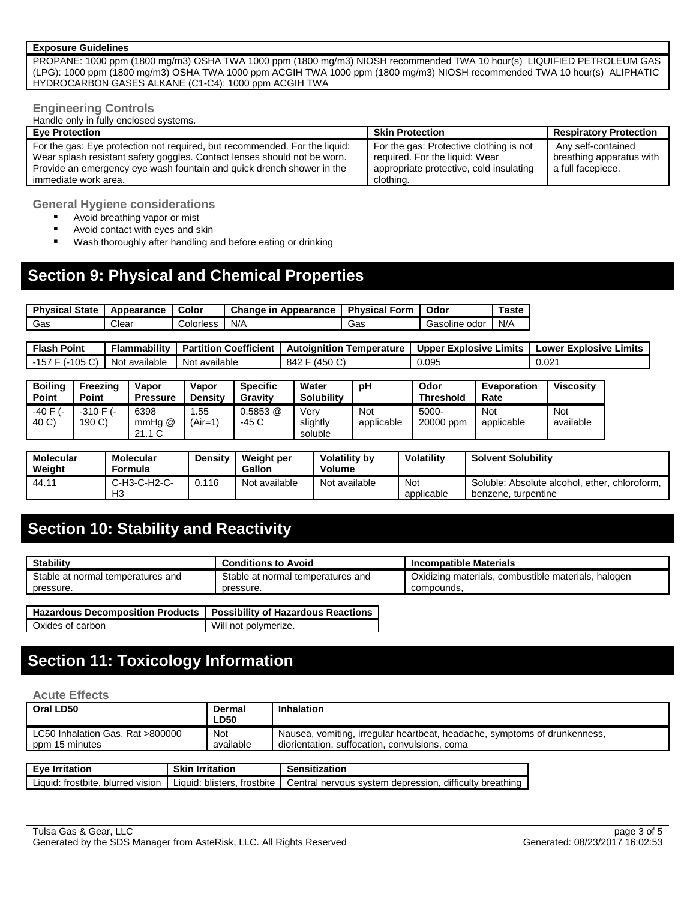#### **Exposure Guidelines**

PROPANE: 1000 ppm (1800 mg/m3) OSHA TWA 1000 ppm (1800 mg/m3) NIOSH recommended TWA 10 hour(s) LIQUIFIED PETROLEUM GAS (LPG): 1000 ppm (1800 mg/m3) OSHA TWA 1000 ppm ACGIH TWA 1000 ppm (1800 mg/m3) NIOSH recommended TWA 10 hour(s) ALIPHATIC HYDROCARBON GASES ALKANE (C1-C4): 1000 ppm ACGIH TWA

#### **Engineering Controls**

Handle only in fully enclosed systems.

| <b>Eve Protection</b>                                                                                                                                                                                                                                   | <b>Skin Protection</b>                                                                                                            | <b>Respiratory Protection</b>                                       |
|---------------------------------------------------------------------------------------------------------------------------------------------------------------------------------------------------------------------------------------------------------|-----------------------------------------------------------------------------------------------------------------------------------|---------------------------------------------------------------------|
| For the gas: Eye protection not required, but recommended. For the liquid:<br>Wear splash resistant safety goggles. Contact lenses should not be worn.<br>Provide an emergency eye wash fountain and quick drench shower in the<br>immediate work area. | For the gas: Protective clothing is not<br>required. For the liquid: Wear<br>appropriate protective, cold insulating<br>clothing. | Any self-contained<br>breathing apparatus with<br>a full facepiece. |

**General Hygiene considerations**

- **Avoid breathing vapor or mist**
- **Avoid contact with eyes and skin**
- **Wash thoroughly after handling and before eating or drinking**

# **Section 9: Physical and Chemical Properties**

| <b>Physical State</b> | Appearance | Color     | <b>Change in Appearance</b> | <b>Physical Form</b> | Odor               | Taste |
|-----------------------|------------|-----------|-----------------------------|----------------------|--------------------|-------|
| Gas                   | Clear      | Colorless | N/A                         | Gas                  | . odor<br>Gasoline | N/A   |

| <b>Flash Point</b> | Flammability  | <b>Partition Coefficient</b> | Autoianition<br>Temperature | <b>THE Upper Explosive Limits LE</b> | <b>Lower Explosive Limits</b> |
|--------------------|---------------|------------------------------|-----------------------------|--------------------------------------|-------------------------------|
| -157 F (-105 C)    | Not available | Not available                | (450 C)<br>842              | 0.095                                | $0.02^{\prime}$               |

| <b>Boiling</b><br><b>Point</b> | Freezina<br><b>Point</b> | Vapor<br><b>Pressure</b> | Vapor<br><b>Density</b> | <b>Specific</b><br>Gravity | Water<br><b>Solubility</b>  | рH                | Odor<br><b>Threshold</b> | Evaporation<br>Rate | <b>Viscosity</b> |
|--------------------------------|--------------------------|--------------------------|-------------------------|----------------------------|-----------------------------|-------------------|--------------------------|---------------------|------------------|
| -40 F (-<br>40 C)              | $-310$ F $(-)$<br>190 C) | 6398<br>mmHa @<br>21.1 C | .55<br>(Air=1)          | 0.5853 @<br>-45 C          | Verv<br>slightly<br>soluble | Not<br>applicable | $5000 -$<br>20000 ppm    | Not<br>applicable   | Not<br>available |

| Molecular<br>Weight | <b>Molecular</b><br><b>Formula</b> | Density | Weight per<br>Gallon | <b>Volatility by</b><br>Volume | <b>Volatility</b> | <b>Solvent Solubility</b>                                            |
|---------------------|------------------------------------|---------|----------------------|--------------------------------|-------------------|----------------------------------------------------------------------|
| $44.1^{\circ}$      | C-H3-C-H2-C-<br>H <sub>3</sub>     | 0.116   | Not available        | Not available                  | Not<br>applicable | Soluble: Absolute alcohol. ether. chloroform.<br>benzene, turpentine |

## **Section 10: Stability and Reactivity**

| <b>Stability</b>                        | <b>Conditions to Avoid</b>                | Incompatible Materials                              |
|-----------------------------------------|-------------------------------------------|-----------------------------------------------------|
| Stable at normal temperatures and       | Stable at normal temperatures and         | Oxidizing materials, combustible materials, halogen |
| pressure.                               | pressure.                                 | compounds.                                          |
|                                         |                                           |                                                     |
| <b>Hazardous Decomposition Products</b> | <b>Possibility of Hazardous Reactions</b> |                                                     |
| Oxides of carbon                        | Will not polymerize.                      |                                                     |

# **Section 11: Toxicology Information**

#### **Acute Effects**

| Oral LD50                                                                     |                        | Dermal                      | Inhalation                                                                                                                 |  |
|-------------------------------------------------------------------------------|------------------------|-----------------------------|----------------------------------------------------------------------------------------------------------------------------|--|
|                                                                               |                        | <b>LD50</b>                 |                                                                                                                            |  |
| LC50 Inhalation Gas, Rat >800000<br><b>Not</b><br>ppm 15 minutes<br>available |                        |                             | Nausea, vomiting, irregular heartbeat, headache, symptoms of drunkenness,<br>diorientation, suffocation, convulsions, coma |  |
|                                                                               |                        |                             |                                                                                                                            |  |
| Eve Irritation                                                                | <b>Skin Irritation</b> |                             | <b>Sensitization</b>                                                                                                       |  |
| Liquid: frostbite, blurred vision                                             |                        | Liquid: blisters, frostbite | Central nervous system depression, difficulty breathing                                                                    |  |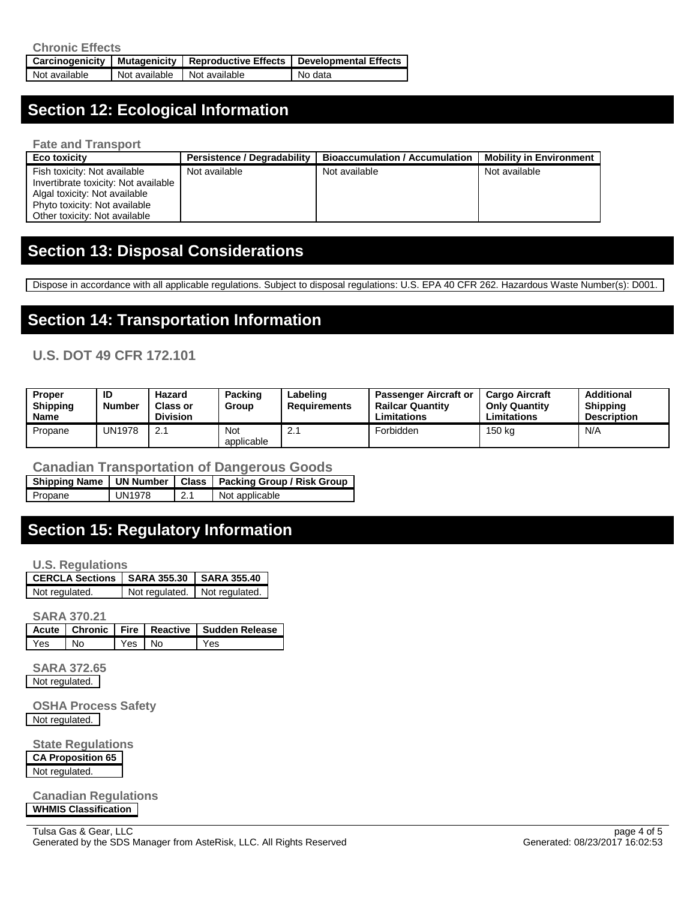| <b>Chronic Effects</b> |               |                                                       |                              |  |
|------------------------|---------------|-------------------------------------------------------|------------------------------|--|
|                        |               | Carcinogenicity   Mutagenicity   Reproductive Effects | <b>Developmental Effects</b> |  |
| Not available          | Not available | Not available                                         | No data                      |  |

# **Section 12: Ecological Information**

**Fate and Transport**

| Eco toxicity                         | <b>Persistence / Degradability</b> | <b>Bioaccumulation / Accumulation</b> | <b>Mobility in Environment</b> |
|--------------------------------------|------------------------------------|---------------------------------------|--------------------------------|
| Fish toxicity: Not available         | Not available                      | Not available                         | Not available                  |
| Invertibrate toxicity: Not available |                                    |                                       |                                |
| Algal toxicity: Not available        |                                    |                                       |                                |
| Phyto toxicity: Not available        |                                    |                                       |                                |
| Other toxicity: Not available        |                                    |                                       |                                |

### **Section 13: Disposal Considerations**

Dispose in accordance with all applicable regulations. Subject to disposal regulations: U.S. EPA 40 CFR 262. Hazardous Waste Number(s): D001.

## **Section 14: Transportation Information**

#### **U.S. DOT 49 CFR 172.101**

| Proper<br><b>Shipping</b><br><b>Name</b> | ID<br><b>Number</b> | Hazard<br><b>Class or</b><br><b>Division</b> | Packing<br>Group         | ∟abelinɑ<br>Requirements | <b>Passenger Aircraft or</b><br>Railcar Quantitv<br>Limitations | <b>Cargo Aircraft</b><br><b>Only Quantity</b><br>Limitations | Additional<br><b>Shipping</b><br><b>Description</b> |
|------------------------------------------|---------------------|----------------------------------------------|--------------------------|--------------------------|-----------------------------------------------------------------|--------------------------------------------------------------|-----------------------------------------------------|
| Propane                                  | <b>UN1978</b>       | 2.1                                          | <b>Not</b><br>applicable | <u>.</u>                 | Forbidden                                                       | 150 kg                                                       | N/A                                                 |

#### **Canadian Transportation of Dangerous Goods**

**Shipping Name UN Number Class Packing Group / Risk Group** Propane UN1978 2.1 Not applicable

# **Section 15: Regulatory Information**

**U.S. Regulations**

| LCERCLA Sections LSARA 355.30 | <b>SARA 355.40</b>              |
|-------------------------------|---------------------------------|
| Not regulated.                | Not regulated.   Not regulated. |

**SARA 370.21**

|       |                             |        | Acute   Chronic   Fire   Reactive   Sudden Release |
|-------|-----------------------------|--------|----------------------------------------------------|
| l Yes | $\overline{\phantom{a}}$ No | Yes No | Yes                                                |

**SARA 372.65** Not regulated.

**OSHA Process Safety** Not regulated.

**State Regulations CA Proposition 65** Not regulated.

**Canadian Regulations WHMIS Classification**